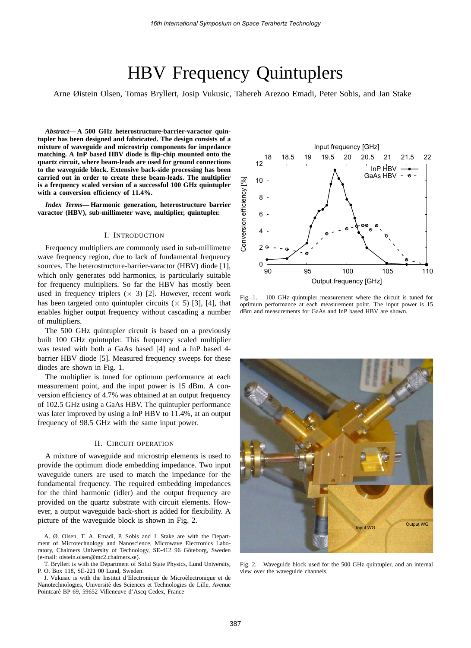# HBV Frequency Quintuplers

Arne Øistein Olsen, Tomas Bryllert, Josip Vukusic, Tahereh Arezoo Emadi, Peter Sobis, and Jan Stake

*Abstract***— A 500 GHz heterostructure-barrier-varactor quintupler has been designed and fabricated. The design consists of a mixture of waveguide and microstrip components for impedance matching. A InP based HBV diode is flip-chip mounted onto the quartz circuit, where beam-leads are used for ground connections to the waveguide block. Extensive back-side processing has been carried out in order to create these beam-leads. The multiplier is a frequency scaled version of a successful 100 GHz quintupler with a conversion efficiency of 11.4%.**

*Index Terms***— Harmonic generation, heterostructure barrier varactor (HBV), sub-millimeter wave, multiplier, quintupler.**

## I. INTRODUCTION

Frequency multipliers are commonly used in sub-millimetre wave frequency region, due to lack of fundamental frequency sources. The heterostructure-barrier-varactor (HBV) diode [1], which only generates odd harmonics, is particularly suitable for frequency multipliers. So far the HBV has mostly been used in frequency triplers  $(x, 3)$  [2]. However, recent work has been targeted onto quintupler circuits ( $\times$  5) [3], [4], that enables higher output frequency without cascading a number of multipliers.

The 500 GHz quintupler circuit is based on a previously built 100 GHz quintupler. This frequency scaled multiplier was tested with both a GaAs based [4] and a InP based 4 barrier HBV diode [5]. Measured frequency sweeps for these diodes are shown in Fig. 1.

The multiplier is tuned for optimum performance at each measurement point, and the input power is 15 dBm. A conversion efficiency of 4.7% was obtained at an output frequency of 102.5 GHz using a GaAs HBV. The quintupler performance was later improved by using a InP HBV to 11.4%, at an output frequency of 98.5 GHz with the same input power.

### II. CIRCUIT OPERATION

A mixture of waveguide and microstrip elements is used to provide the optimum diode embedding impedance. Two input waveguide tuners are used to match the impedance for the fundamental frequency. The required embedding impedances for the third harmonic (idler) and the output frequency are provided on the quartz substrate with circuit elements. However, a output waveguide back-short is added for flexibility. A picture of the waveguide block is shown in Fig. 2.

A. Ø. Olsen, T. A. Emadi, P. Sobis and J. Stake are with the Department of Microtechnology and Nanoscience, Microwave Electronics Laboratory, Chalmers University of Technology, SE-412 96 Göteborg, Sweden (e-mail: oistein.olsen@mc2.chalmers.se).

T. Bryllert is with the Department of Solid State Physics, Lund University, P. O. Box 118, SE-221 00 Lund, Sweden.

J. Vukusic is with the Institut d'Electronique de Microelectronique et de ´ Nanotechnologies, Universite des Sciences et Technologies de Lille, Avenue ´ Pointcaré BP 69, 59652 Villeneuve d'Ascq Cedex, France



Fig. 1. 100 GHz quintupler measurement where the circuit is tuned for optimum performance at each measurement point. The input power is 15 dBm and measurements for GaAs and InP based HBV are shown.



Fig. 2. Waveguide block used for the 500 GHz quintupler, and an internal view over the waveguide channels.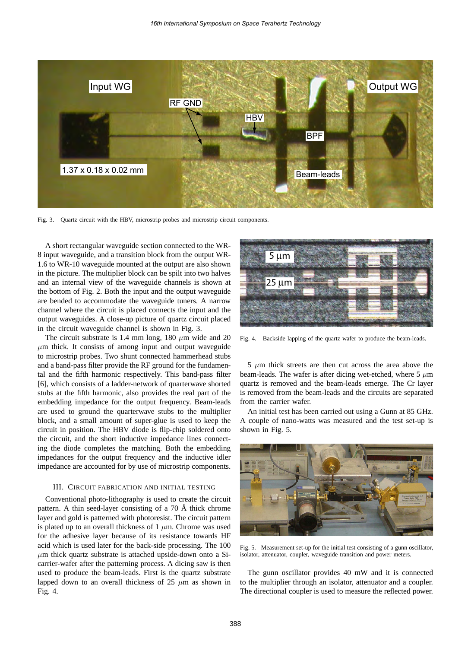

Fig. 3. Quartz circuit with the HBV, microstrip probes and microstrip circuit components.

A short rectangular waveguide section connected to the WR-8 input waveguide, and a transition block from the output WR-1.6 to WR-10 waveguide mounted at the output are also shown in the picture. The multiplier block can be spilt into two halves and an internal view of the waveguide channels is shown at the bottom of Fig. 2. Both the input and the output waveguide are bended to accommodate the waveguide tuners. A narrow channel where the circuit is placed connects the input and the output waveguides. A close-up picture of quartz circuit placed in the circuit waveguide channel is shown in Fig. 3.

The circuit substrate is 1.4 mm long, 180  $\mu$ m wide and 20  $\mu$ m thick. It consists of among input and output waveguide to microstrip probes. Two shunt connected hammerhead stubs and a band-pass filter provide the RF ground for the fundamental and the fifth harmonic respectively. This band-pass filter [6], which consists of a ladder-network of quarterwave shorted stubs at the fifth harmonic, also provides the real part of the embedding impedance for the output frequency. Beam-leads are used to ground the quarterwave stubs to the multiplier block, and a small amount of super-glue is used to keep the circuit in position. The HBV diode is flip-chip soldered onto the circuit, and the short inductive impedance lines connecting the diode completes the matching. Both the embedding impedances for the output frequency and the inductive idler impedance are accounted for by use of microstrip components.

#### III. CIRCUIT FABRICATION AND INITIAL TESTING

Conventional photo-lithography is used to create the circuit pattern. A thin seed-layer consisting of a  $70 \text{ Å}$  thick chrome layer and gold is patterned with photoresist. The circuit pattern is plated up to an overall thickness of  $1 \mu m$ . Chrome was used for the adhesive layer because of its resistance towards HF acid which is used later for the back-side processing. The 100  $\mu$ m thick quartz substrate is attached upside-down onto a Sicarrier-wafer after the patterning process. A dicing saw is then used to produce the beam-leads. First is the quartz substrate lapped down to an overall thickness of 25  $\mu$ m as shown in Fig. 4.



Fig. 4. Backside lapping of the quartz wafer to produce the beam-leads.

 $5 \mu m$  thick streets are then cut across the area above the beam-leads. The wafer is after dicing wet-etched, where  $5 \mu m$ quartz is removed and the beam-leads emerge. The Cr layer is removed from the beam-leads and the circuits are separated from the carrier wafer.

An initial test has been carried out using a Gunn at 85 GHz. A couple of nano-watts was measured and the test set-up is shown in Fig. 5.



Fig. 5. Measurement set-up for the initial test consisting of a gunn oscillator, isolator, attenuator, coupler, waveguide transition and power meters.

The gunn oscillator provides 40 mW and it is connected to the multiplier through an isolator, attenuator and a coupler. The directional coupler is used to measure the reflected power.